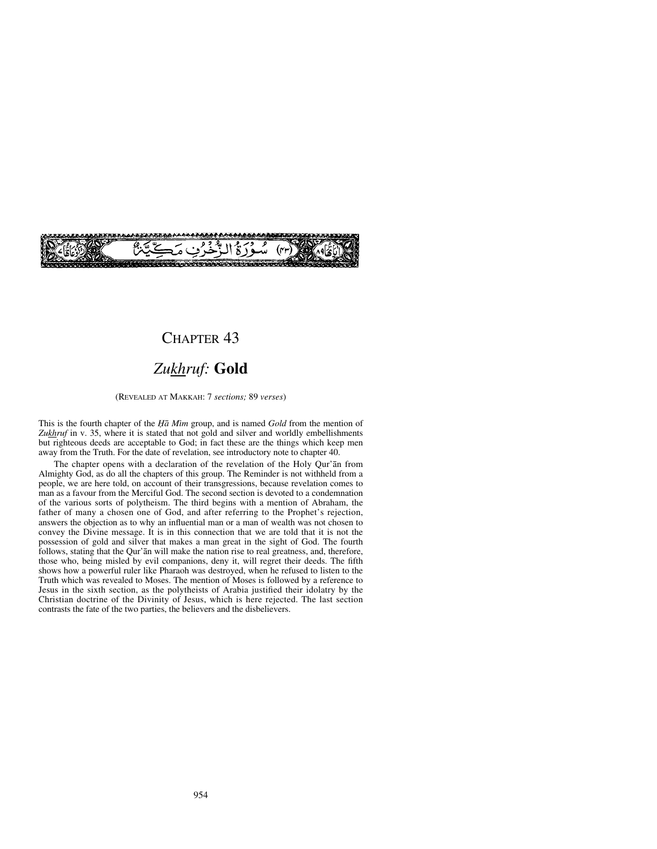

## CHAPTER<sub>43</sub>

# *Zukhruf:* **Gold**

#### (REVEALED AT MAKKAH: 7 *sections;* 89 *verses*)

This is the fourth chapter of the *Ïå Mßm* group, and is named *Gold* from the mention of Zukhruf in v. 35, where it is stated that not gold and silver and worldly embellishments but righteous deeds are acceptable to God; in fact these are the things which keep men away from the Truth. For the date of revelation, see introductory note to chapter 40.

The chapter opens with a declaration of the revelation of the Holy Qur'ån from Almighty God, as do all the chapters of this group. The Reminder is not withheld from a people, we are here told, on account of their transgressions, because revelation comes to man as a favour from the Merciful God. The second section is devoted to a condemnation of the various sorts of polytheism. The third begins with a mention of Abraham, the father of many a chosen one of God, and after referring to the Prophet's rejection, answers the objection as to why an influential man or a man of wealth was not chosen to convey the Divine message. It is in this connection that we are told that it is not the possession of gold and silver that makes a man great in the sight of God. The fourth follows, stating that the Qur'ån will make the nation rise to real greatness, and, therefore, those who, being misled by evil companions, deny it, will regret their deeds. The fifth shows how a powerful ruler like Pharaoh was destroyed, when he refused to listen to the Truth which was revealed to Moses. The mention of Moses is followed by a reference to Jesus in the sixth section, as the polytheists of Arabia justified their idolatry by the Christian doctrine of the Divinity of Jesus, which is here rejected. The last section contrasts the fate of the two parties, the believers and the disbelievers.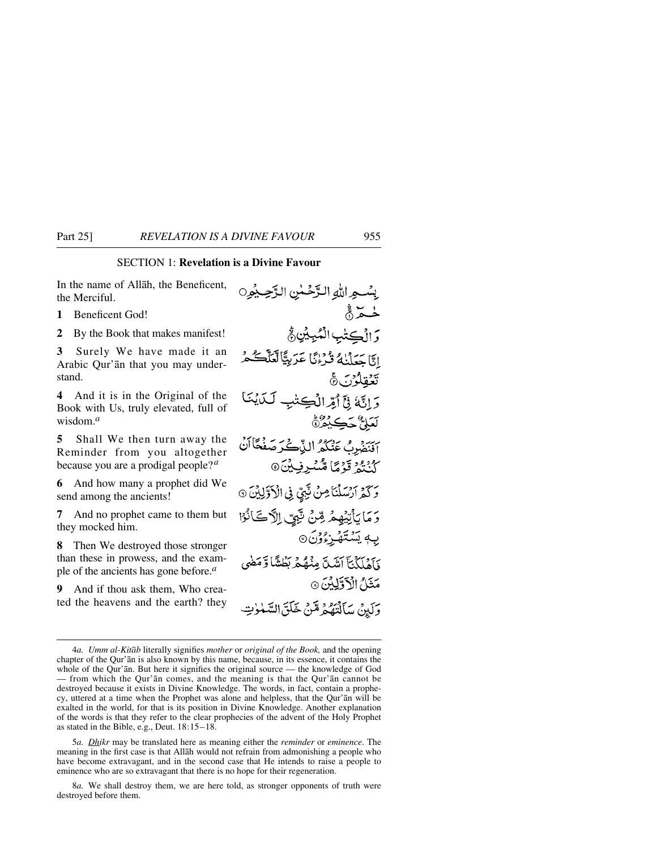### SECTION 1: **Revelation is a Divine Favour**

In the name of Allåh, the Beneficent, the Merciful.

**1** Beneficent God!

**2** By the Book that makes manifest!

**3** Surely We have made it an Arabic Qur'ån that you may understand.

**4** And it is in the Original of the Book with Us, truly elevated, full of wisdom.*<sup>a</sup>*

**5** Shall We then turn away the Reminder from you altogether because you are a prodigal people?*<sup>a</sup>*

**6** And how many a prophet did We send among the ancients!

**7** And no prophet came to them but they mocked him.

**8** Then We destroyed those stronger than these in prowess, and the example of the ancients has gone before.*<sup>a</sup>*

And if thou ask them, Who created the heavens and the earth? they

يسْجِراللهِ الزَّحْسٰنِ الزَّحِيْمِيِنِ لمحدث وَ الْكِتْبِ الْمُبِيِّنِ فَجْ إِنَّا جَعَلْنَاهُ ثَرْءُنَّا عَرَبِيًّا لَعَلَّكُمْ تَعْقِلُوْنَ۞ وَإِنَّهُ فِيَٓ أَمِّرالُكِتْبِ لَكَايُنَـٰ لَعَلِيٌّ حَكِيْثُرُنَّ يَ يَسْتَدَدُ اللَّاكُيْمُ صَفْحًاأَنَّ كُنْتُمْ قَوْمًا مُثْسُرِفِيْنَ© وَكَمَرَ السَّلْنَاصِنَ نَّبِيٌّ فِى الْأَوَّلِيْنَ ۞ وَ مَا بَأْتِيْهِمْ مِّنْ تَبِّيِّ اِلْآَكَانُوْا بِهٖ يَسۡتَهُـزِءُوۡنَ ۞ وَآهْلَكُنَّآ أَنْتَبِكَّ مِنْهُمْ بَطْشًا وَّمَضَى مَثَلُ الْأَوَّلِيْنَ ۞ وَلَيْنَ سَأَلْتَهُمُ مَّنْ خَلَقَ السَّنْوٰتِ

5*a. Dhikr* may be translated here as meaning either the *reminder* or *eminence*. The meaning in the first case is that Allåh would not refrain from admonishing a people who have become extravagant, and in the second case that He intends to raise a people to eminence who are so extravagant that there is no hope for their regeneration.

8*a.* We shall destroy them, we are here told, as stronger opponents of truth were destroyed before them.

<sup>4</sup>*a. Umm al-Kitåb* literally signifies *mother* or *original of the Book,* and the opening chapter of the Qur'ån is also known by this name, because, in its essence, it contains the whole of the Qur'ån. But here it signifies the original source — the knowledge of God — from which the Qur'ån comes, and the meaning is that the Qur'ån cannot be destroyed because it exists in Divine Knowledge. The words, in fact, contain a prophecy, uttered at a time when the Prophet was alone and helpless, that the Qur'ån will be exalted in the world, for that is its position in Divine Knowledge. Another explanation of the words is that they refer to the clear prophecies of the advent of the Holy Prophet as stated in the Bible, e.g., Deut. 18:15–18.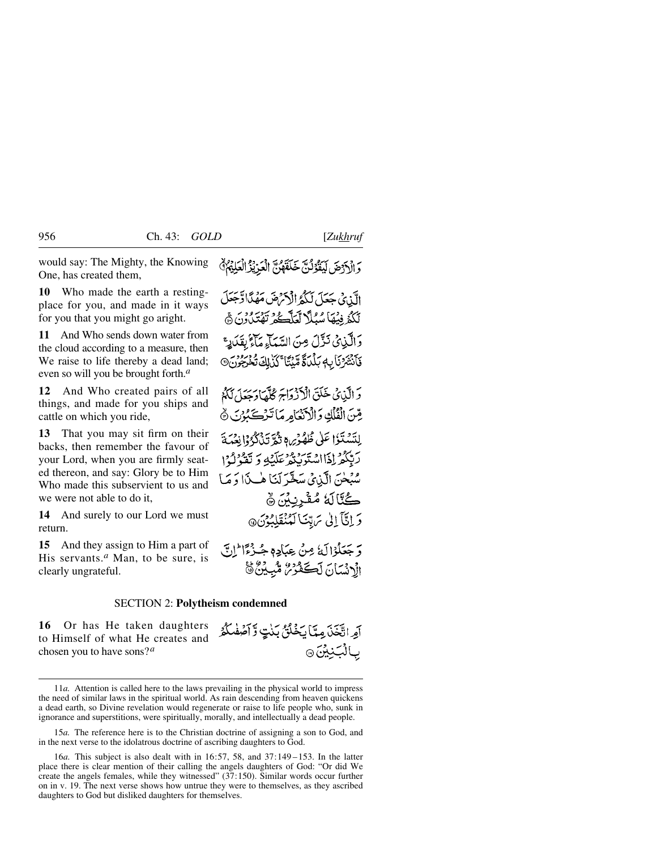would say: The Mighty, the Knowing One, has created them,

**10** Who made the earth a restingplace for you, and made in it ways for you that you might go aright.

**11** And Who sends down water from the cloud according to a measure, then We raise to life thereby a dead land; even so will you be brought forth.*<sup>a</sup>*

**12** And Who created pairs of all things, and made for you ships and cattle on which you ride,

**13** That you may sit firm on their backs, then remember the favour of your Lord, when you are firmly seated thereon, and say: Glory be to Him Who made this subservient to us and we were not able to do it,

**14** And surely to our Lord we must return.

**15** And they assign to Him a part of His servants.*<sup>a</sup>* Man, to be sure, is clearly ungrateful.

وَ الْآَرْضَ لَيَقْوُلُنَّ خَلَقَهُنَّ الْعَرِيْزُ الْعَلِيْمُ ۚ

الَّذِي جَعَلَ لَكُمُ الْآرَضَ مَهْدًا وَّجَعَلَ لَكُمْ فِيهَا سُبُلًا لَعَلَّكُمُ تَهْتَدُونَ ﴾ وَالَّذِي نَزَّلَ مِنَ السَّمَاءِ مَأْءٌ بِقَدَادِ ۚ فَأَنْشَرْنَا بِهِ بَلْدَةً مَّنْتَا َكَذَٰلِكَ تُخْرَجُونَ۞

وَالَّذِيْ خَلَقَ الْأَذْوَاجَ كُلَّهَا وَجَعَلَ لَكُمْ يِّينَ الْفُلُّكِ وَالْأَنْعَامِرِ مَا تَّرْكَبُوْنَ ۞ لِلتَسْتَذَا عَلَى ظُهُوْسٍ وَثُمَّ تَذْكُرُوْا نِعْبَدَ رَبِّيْكُمْ إِذَااِسْتَوَبِّدُهُ عَلَيْهِ وَ تَقَوّْلُوْا سُبْحٰنَ الَّذِيِّ سَخَّرَ لَنَا هٰـذَا وَ مَا ڭالَةُ مُقْرِنِبْنَ ۞ دَ إِنَّآ إِلَىٰ سَ تِنَا لَعُنْقَلِيَوْنَ@

دَ جَعَلُوْالَهُ مِنْ عِبَادِهِ جُبِذْءًا ۖ إِنِّي الْأَنْسَانَ لَڪَفُوْسُ مُّبِيْنٌ ﴾

أمراتيخني مدان خلقي بننت وَآصْفُكْتُر

بالْبَنِيْنَ۞

#### SECTION 2: **Polytheism condemned**

**16** Or has He taken daughters to Himself of what He creates and chosen you to have sons?*<sup>a</sup>*

11*a.* Attention is called here to the laws prevailing in the physical world to impress the need of similar laws in the spiritual world. As rain descending from heaven quickens a dead earth, so Divine revelation would regenerate or raise to life people who, sunk in ignorance and superstitions, were spiritually, morally, and intellectually a dead people.

15*a.* The reference here is to the Christian doctrine of assigning a son to God, and in the next verse to the idolatrous doctrine of ascribing daughters to God.

<sup>16</sup>*a.* This subject is also dealt with in 16:57, 58, and 37:149 –153. In the latter place there is clear mention of their calling the angels daughters of God: "Or did We create the angels females, while they witnessed"  $(37:150)$ . Similar words occur further on in v. 19. The next verse shows how untrue they were to themselves, as they ascribed daughters to God but disliked daughters for themselves.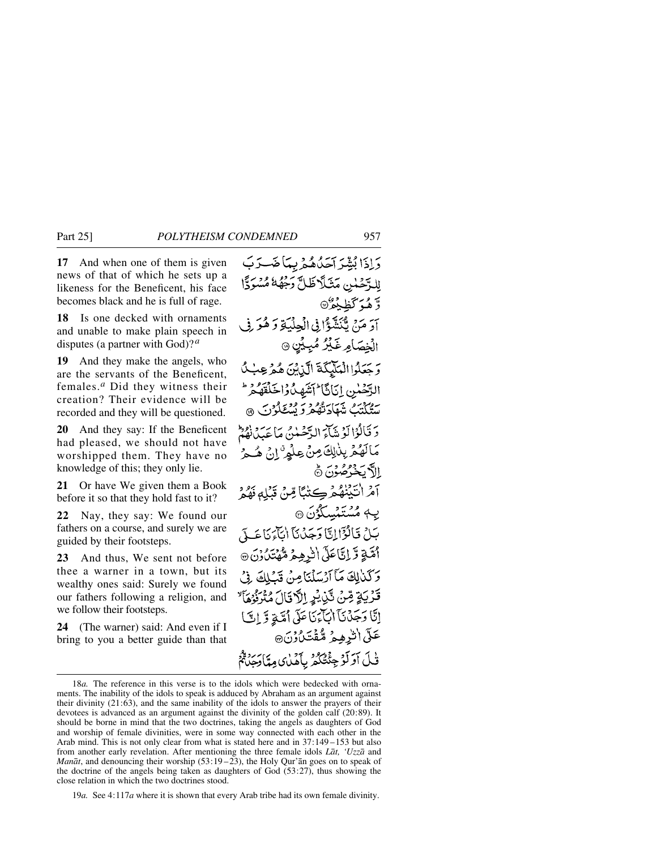**17** And when one of them is given news of that of which he sets up a likeness for the Beneficent, his face becomes black and he is full of rage.

**18** Is one decked with ornaments and unable to make plain speech in disputes (a partner with God)?*<sup>a</sup>*

**19** And they make the angels, who are the servants of the Beneficent, females.*<sup>a</sup>* Did they witness their creation? Their evidence will be recorded and they will be questioned.

**20** And they say: If the Beneficent had pleased, we should not have worshipped them. They have no knowledge of this; they only lie.

**21** Or have We given them a Book before it so that they hold fast to it?

**22** Nay, they say: We found our fathers on a course, and surely we are guided by their footsteps.

**23** And thus, We sent not before thee a warner in a town, but its wealthy ones said: Surely we found our fathers following a religion, and we follow their footsteps.

**24** (The warner) said: And even if I bring to you a better guide than that

دَاذَا بُشِّدَ آحَدُهُمْ بِيِّبَا ضَبَّدَبَ للرَّحْلَينِ مَثَلَّا ظَلَّ رَجُّهُهُ مُسْرَدًّا وَّهُوَكَظِيْعُرُ® أَدَ مَنْ يُّنَشَّؤُا فِي الْجِلْيَةِ دَ هُوَ فِي الْخِصَامِرغَيْرُ مُبِيِّنٍ ۞ وَجَعَلُوا الْمَلَيْكَةَ الَّذِيْنَ هُمْ عِبْكُ الرَّحْمٰنِ إِيَانَاً أَتَشَهِدُّهُ إِخَلَقَهُمْ ۖ سَتَكَتَبُ شَهَادَتْهُمْ وَ يُسْتَكْوُنَ ۞ دَ قَالُوْا آوْ شَآءَ الدَّصْلُنُ مَا عَبِدِرْ إِهِ ﴿ مَالَهُمُ بِلْلِكَ مِنْ عِلْمٍ ۚ إِنْ هُجُ الآيخۇصۇن ۋ آمُ انْتَيْنْهُمْ كِتْبًا مِّنْ قَبْلِهِ فَهُمْ یـه مُسْتَمْسِلُوُنَ @ بَلْ قَالَوْۤالِتَّاوَجَدُنَآ الْمَاءَنَاعَـدَ اْتَيَّةٍ وَّ إِنَّاعَلَى الْنُرْهِيمُ مُّهْتَدَٰ، وَنَ @ وَكَذَٰلِكَ مَآ أَرۡسَلۡنَامِنَ قَبَلِكَ فِيۡ قَرْيَةٍ مِّنْ تَّنِيْنِ إِلَّا قَالَ مُتَرَفِّوُهَا إِنَّا وَجَذَنَا الْبَاَّئِ مَا عَلَى أُمَّةٍ وَّ إِنَّ) عَلّى الْرِهِمْ مُّقْتَلُوْنَ، ڤَلَ أَوَلَوْجِئْتُكُمُ بِأَهْلٰى مِتَارَجِيَنَّهُم

19*a.* See 4:117*a* where it is shown that every Arab tribe had its own female divinity.

<sup>18</sup>*a.* The reference in this verse is to the idols which were bedecked with ornaments. The inability of the idols to speak is adduced by Abraham as an argument against their divinity (21:63), and the same inability of the idols to answer the prayers of their devotees is advanced as an argument against the divinity of the golden calf (20:89). It should be borne in mind that the two doctrines, taking the angels as daughters of God and worship of female divinities, were in some way connected with each other in the Arab mind. This is not only clear from what is stated here and in 37:149 –153 but also from another early revelation. After mentioning the three female idols *Låt, 'Uzzå* and *Manåt*, and denouncing their worship (53:19 –23), the Holy Qur'ån goes on to speak of the doctrine of the angels being taken as daughters of God (53:27), thus showing the close relation in which the two doctrines stood.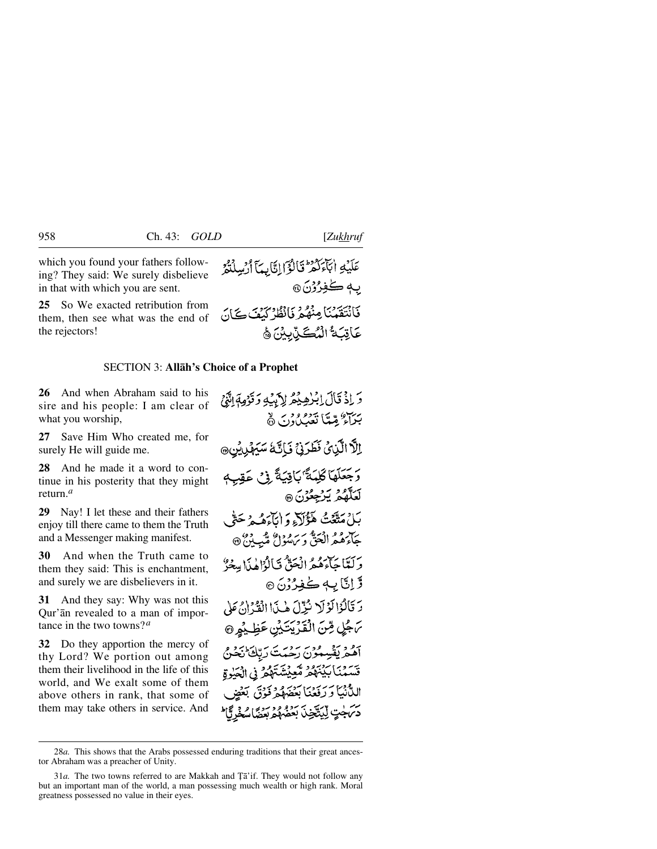which you found your fathers following? They said: We surely disbelieve in that with which you are sent.

**25** So We exacted retribution from them, then see what was the end of the rejectors!

#### SECTION 3: **Allåh's Choice of a Prophet**

**26** And when Abraham said to his sire and his people: I am clear of what you worship,

**27** Save Him Who created me, for surely He will guide me.

**28** And he made it a word to continue in his posterity that they might return.*<sup>a</sup>*

**29** Nay! I let these and their fathers enjoy till there came to them the Truth and a Messenger making manifest.

**30** And when the Truth came to them they said: This is enchantment, and surely we are disbelievers in it.

**31** And they say: Why was not this Qur'ån revealed to a man of importance in the two towns?*<sup>a</sup>*

**32** Do they apportion the mercy of thy Lord? We portion out among them their livelihood in the life of this world, and We exalt some of them above others in rank, that some of them may take others in service. And

عَلَيْهِ اٰبَآءَكُمْ قَالُوۡۤالِنَّابِيَآ ٱرۡسِلۡتُمۡرُ ب4ڪفِرُرُنَ@ فَأَنْتَقَعَنَنَا مِنْهُمْ فَأَنْظُرُ كَبِفَ كَانَ عَاقِبَهُ الْمُكَّذِّبِيْنَ ﴾

5 إِذْ قَالَ إِبْرٰهِيْمُ لِأَبِيْهِ وَقَوْمِهَاشَيْ بِينٍ مِيّةً تَعْبِينَ دِنَ ۞ الَّا الَّذِيْ فَطَرَنْ فَاِتَّهُ سَيَهْدِيُنِ® وَجَعَلَهَا كَلِمَةٌ َبَاقِيَةً فِي عَقِبِهِ لَعَلَّهُمُ يَرْجِعُوْنَ @ بَلْ مَتَّعَتُ هَؤُلَاءِ وَإِيَاءَهُ جَ حَتَّى جَآءَهُمُّ الْعَنَّ وَيَ سُوْلُ مُّبِيْنُ ۞ وكتباحاً وه الْحَقُّ فَبَالْوَاهٰذَا مِعْةً وَ وَّ إِنَّا بِهٖ كُفِرُرُنَ ۞ وَ تَأْلُوْا لَوْلَا نُزِّلَ هٰذَا الْقُرْانُ عَلَى مَ جُلٍ مِّنَ الْقَرِيَتَيْنِ عَظِيْمٍ @ آهُمْ يَقْسِمُوْنَ رَحْمَتَ رَبِّكَ بِجَمْعِينَ قَسَمْنَا بَيْنَهُمْ مُّعِيْشَتَهُمْ فِي الْجَدِّةِ الدُّنِيَّا وَرَفَعُنَا بَعْضَهُمْ ذَوْقَ بَعْضٍ دسمجتِ لِيَتَيَّخِيدُ بَعْضُهُمْ بَعْضًا يُبِحْدُ ثَالَ

<sup>28</sup>*a.* This shows that the Arabs possessed enduring traditions that their great ancestor Abraham was a preacher of Unity.

<sup>31</sup>*a*. The two towns referred to are Makkah and Ta'if. They would not follow any but an important man of the world, a man possessing much wealth or high rank. Moral greatness possessed no value in their eyes.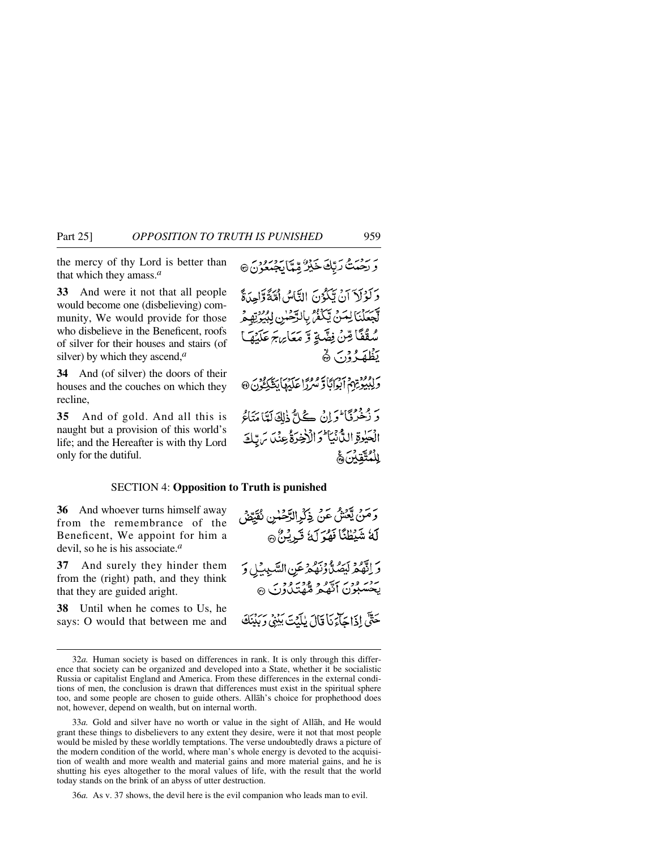the mercy of thy Lord is better than that which they amass.*<sup>a</sup>*

**33** And were it not that all people would become one (disbelieving) community, We would provide for those who disbelieve in the Beneficent, roofs of silver for their houses and stairs (of silver) by which they ascend,*<sup>a</sup>*

**34** And (of silver) the doors of their houses and the couches on which they recline,

**35** And of gold. And all this is naught but a provision of this world's life; and the Hereafter is with thy Lord only for the dutiful.

ئے بیٹر میں ہے۔<br>و رحمتُ رَبَّكَ خَيْرٌ مِّمَّا يَجْمَعُونَ @

وَكَوْلَآ آنْ بَيْكُوۡنَ النَّاسُ أَمّْةً وَّاحِدَةً أَجْعَلْنَا لِمَنْ يَكْفَرُ بِالرَّحْسِ لِبُيُوْتِهِمْ سُقُفًا قِنْ فِضَّةٍ وَ مَعَامِ بِمَ عَلَيْهَا بَظْلَمَهُ وْنَ ۿْ

م دوود دم در ایرانگا و مرکزا علیها بیگر دون<br>و لِلِیگِرْیْزَم ابوابگا و منزرا علیها بیگر عَوْنَ @

رِ وَقَوْمَى الْحَرَانُ كُلُّ ذٰلِكَ لَمَّا مَتَاكُم الْحَيْدِةِ الدَّنْبَا وَالْإِخْرَةُ عِنْدَ يَرِّيْهِ الْمُتَّقَانِ ۾َ

#### SECTION 4: **Opposition to Truth is punished**

**36** And whoever turns himself away from the remembrance of the Beneficent, We appoint for him a devil, so he is his associate.*<sup>a</sup>*

**37** And surely they hinder them from the (right) path, and they think that they are guided aright.

**38** Until when he comes to Us, he says: O would that between me and وَمَنْ يَعْشْ عَنْ ذِكْرِالدَّحْنُسِ نُقَيِّقْ لَهُ شَيْطُنَّا فَهُوَ لَهُ تَبِرِيْنُ ۞ وَ اِنَّهُمْ لَيَصُلُّ وَنَهُمْ عَنِ السَّبِيْلِ وَ ہے۔ ووسر سو دیور دورہ<br>پخسبون انقبہ مقتل ون @ حَتَّى إِذَا حَآجَ نَا قَالَ بِلَدْتِ بَيْنِي وَيَدْنَكَ

36*a.* As v. 37 shows, the devil here is the evil companion who leads man to evil.

<sup>32</sup>*a.* Human society is based on differences in rank. It is only through this difference that society can be organized and developed into a State, whether it be socialistic Russia or capitalist England and America. From these differences in the external conditions of men, the conclusion is drawn that differences must exist in the spiritual sphere too, and some people are chosen to guide others. Allåh's choice for prophethood does not, however, depend on wealth, but on internal worth.

<sup>33</sup>*a.* Gold and silver have no worth or value in the sight of Allåh, and He would grant these things to disbelievers to any extent they desire, were it not that most people would be misled by these worldly temptations. The verse undoubtedly draws a picture of the modern condition of the world, where man's whole energy is devoted to the acquisition of wealth and more wealth and material gains and more material gains, and he is shutting his eyes altogether to the moral values of life, with the result that the world today stands on the brink of an abyss of utter destruction.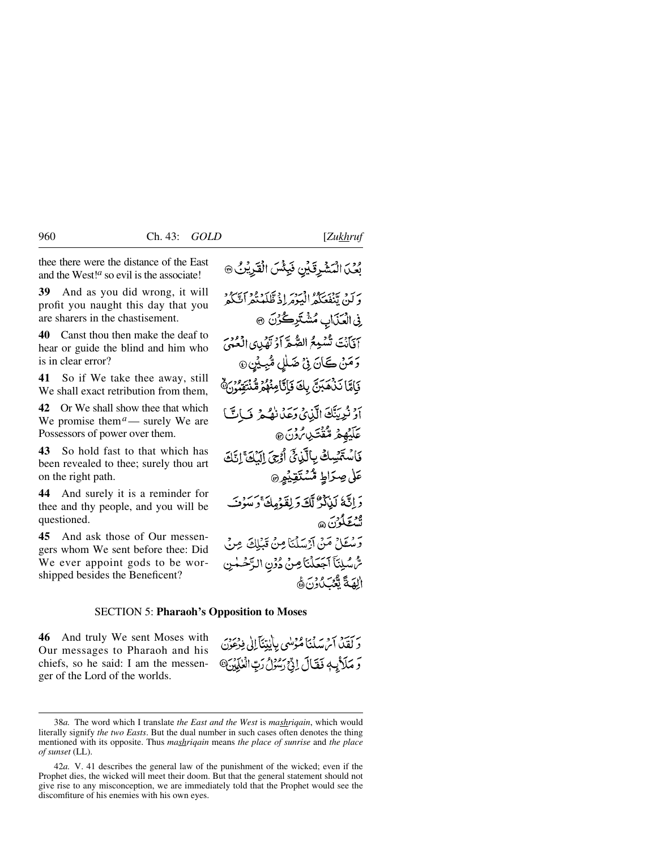thee there were the distance of the East and the West!*<sup>a</sup>* so evil is the associate!

**39** And as you did wrong, it will profit you naught this day that you are sharers in the chastisement.

**40** Canst thou then make the deaf to hear or guide the blind and him who is in clear error?

**41** So if We take thee away, still We shall exact retribution from them.

**42** Or We shall show thee that which We promise them<sup> $a$ </sup>— surely We are Possessors of power over them.

**43** So hold fast to that which has been revealed to thee; surely thou art on the right path.

**44** And surely it is a reminder for thee and thy people, and you will be questioned.

**45** And ask those of Our messengers whom We sent before thee: Did We ever appoint gods to be worshipped besides the Beneficent?

بُعْيَ الْمَشْرِقَيْنِ فَبِئْسَ الْقَرِيْنُ ۞

برَ بِيَ بِيَ بِيَعْمَلُهُ الْبَيْرَهُ إِذْ ظَلَمْتُهُ أَنَّ كُهُ ۚ فِي الْعَذَابِ مُشْتَرِكُوْنَ ٢ آفآنُتَ تُسْمِعُ الصُّعِّ أَدْ تَهُدِي الْعُنْمَيِّ رَمَنْ كَانَ فِي ضَلْلِ مُّبِيْنِ۞ بَامَّا نَذْهَبَنَّ بِكَ فَإِنَّامِنُهُمْ مُّنْتَقِبُوْنَ ﴾ أَوْ نُرِيِّنَّكَ الَّذِي وَعَذَانَهُمْ فَيَاتً *عَلَيْهِمْ* مُّقْتَدِي*نْ وَ*نَ @ فَاسْتَمْسِكْ بِالَّذِيِّ أَوْجَ الَّذِيَّ الَّذَا تَاتَّا عَلٰى صِرَاطِ مُّسْتَقِيْهِ ۞ وَإِنَّهُ لَيْلَذُّرٌ لَّكَ وَلِقَوْمِكَ وَسَوْفَ ود به مود.<br>تستغلون ه وسكلُ مَنْ آرْسَلْنَا مِنْ قَبْلِكَ مِنْ سُّسْلِنَآ ٱجَعَلْنَاصِنَ دُوۡنِ الرَّحۡمٰنِ العَدَةَ تَعْبَبُ دَنَّ هَ

#### SECTION 5: **Pharaoh's Opposition to Moses**

**46** And truly We sent Moses with Our messages to Pharaoh and his chiefs, so he said: I am the messenger of the Lord of the worlds.

دَ كَقِيْدٌ آمْ سَلْنَا مُؤْمِنُهِي بِالْبِيّنَآ إِلَى فِدْعَوْنَ وَ مَلَأَيْهِ فَقَالَ إِذْ رَسُوْلُ رَبِّ الْعٰلَمِينَ @

<sup>38</sup>*a.* The word which I translate *the East and the West* is *mashriqain*, which would literally signify *the two Easts*. But the dual number in such cases often denotes the thing mentioned with its opposite. Thus *mashriqain* means *the place of sunrise* and *the place of sunset* (LL).

<sup>42</sup>*a.* V. 41 describes the general law of the punishment of the wicked; even if the Prophet dies, the wicked will meet their doom. But that the general statement should not give rise to any misconception, we are immediately told that the Prophet would see the discomfiture of his enemies with his own eyes.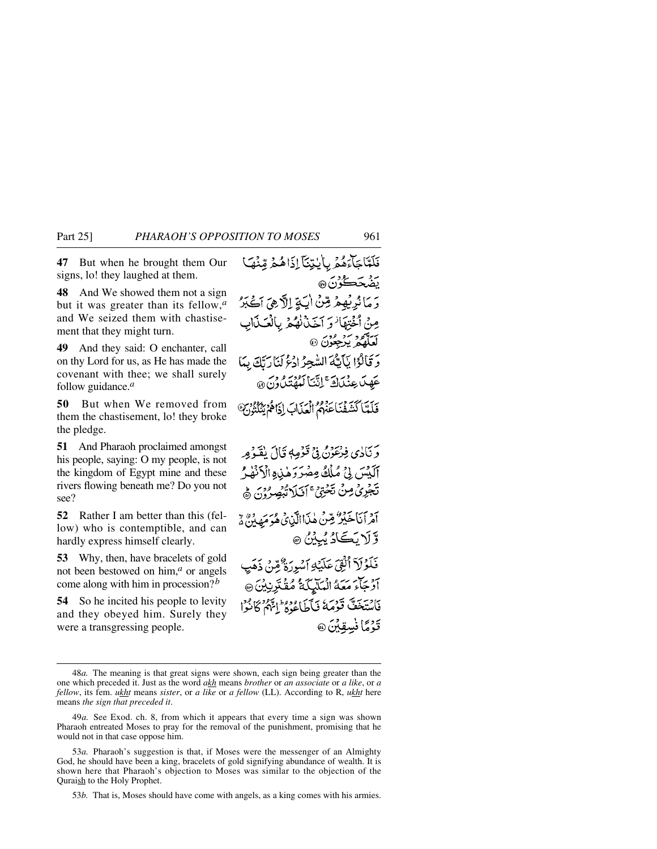**47** But when he brought them Our signs, lo! they laughed at them.

**48** And We showed them not a sign but it was greater than its fellow,*<sup>a</sup>* and We seized them with chastisement that they might turn.

**49** And they said: O enchanter, call on thy Lord for us, as He has made the covenant with thee; we shall surely follow guidance.*<sup>a</sup>*

**50** But when We removed from them the chastisement, lo! they broke the pledge.

**51** And Pharaoh proclaimed amongst his people, saying: O my people, is not the kingdom of Egypt mine and these rivers flowing beneath me? Do you not see?

**52** Rather I am better than this (fellow) who is contemptible, and can hardly express himself clearly.

**53** Why, then, have bracelets of gold not been bestowed on him,*<sup>a</sup>* or angels come along with him in procession?*<sup>b</sup>*

**54** So he incited his people to levity and they obeyed him. Surely they were a transgressing people.

فَلَمَّاجَآءَهُمْ بِأَيْتِنَآ إِذَاهُمْ وِّنْهَا <u>ي</u>َضُحَكُوْنَ® دَ مَا نُدِيْهِمْ مِّنْ ايَةٍ إِلَّا هِيَ أَكْبَرُ مِنْ أَخْتِفَانُوَ أَخَذْنُهُمْ بِالْعَيْذَابِ لعلم برعون @ دَ قَالُوْا بِّأَيُّهُ السُّجِرُ ادْعُ لَيَارَتَكَ بِمَا عَهِدَ عِنْدَادَ ۚ إِنَّنَا لَعُهُتَدَاوُنَ ۞ فَلَعَّا كَشَفْنَاءَ مِعْ أَلْعَدَابَ إِذَاهُمْ يُنُلُثُونَ ۖ وَنَادِي فِرْعَوْنُ فِي قَوْمِهِ قَالَ يُقَوْمِهِ آلَيْسَ بِيُ مُلْكُ مِصْرَرَهٰذِهِ الْآنُهِ مِ تَجْرِئْ مِنْ تَحْتِيْ ۚ أَنَيْلَا تُبْصِرُوْنَ ﴾ آمرانا حَبْيرٌ مِينَ هٰذَاالَّذِي وَ عَبَدَهُ مِيْ أَهْرَاهُ وَ وَّ لَا يَڪَادُ يُبِيْنُ ۞ فَلَوْلَآ أَلۡقِیۡ عَلَیٰۡٓلِہِ ٱسۡوِرَۃٌ مِّنۡ ذَهَٰبِ آَدْجَاءَ مَعَهُ انْعَلَيْكَةُ مُفْتَدِنِيْنَ ۞ فَأَسْتَخَفَّ قَوْمَةُ فَأَجَاءُ وَوَلَا يَبَعْرُ كَانُوْا

قَدْمًا فْسقِيْنَ @

53*b.* That is, Moses should have come with angels, as a king comes with his armies.

<sup>48</sup>*a.* The meaning is that great signs were shown, each sign being greater than the one which preceded it. Just as the word *akh* means *brother* or *an associate* or *a like*, or *a fellow*, its fem. *ukht* means *sister*, or *a like* or *a fellow* (LL). According to R, *ukht* here means *the sign that preceded it*.

<sup>49</sup>*a.* See Exod. ch. 8, from which it appears that every time a sign was shown Pharaoh entreated Moses to pray for the removal of the punishment, promising that he would not in that case oppose him.

<sup>53</sup>*a.* Pharaoh's suggestion is that, if Moses were the messenger of an Almighty God, he should have been a king, bracelets of gold signifying abundance of wealth. It is shown here that Pharaoh's objection to Moses was similar to the objection of the Quraish to the Holy Prophet.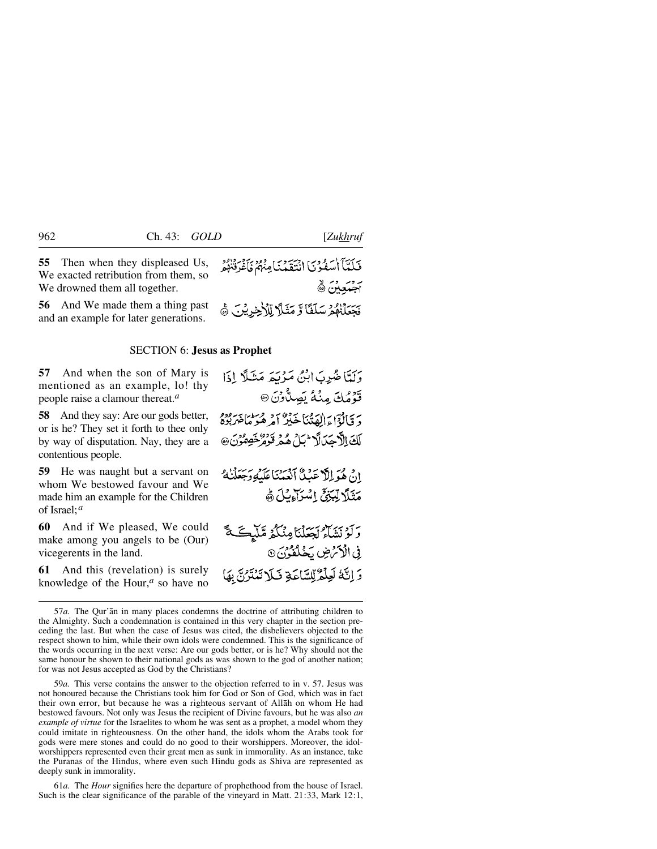**55** Then when they displeased Us, We exacted retribution from them, so We drowned them all together.

**56** And We made them a thing past and an example for later generations.

#### SECTION 6: **Jesus as Prophet**

**57** And when the son of Mary is mentioned as an example, lo! thy people raise a clamour thereat.*<sup>a</sup>*

**58** And they say: Are our gods better, or is he? They set it forth to thee only by way of disputation. Nay, they are a contentious people.

**59** He was naught but a servant on whom We bestowed favour and We made him an example for the Children of Israel;*<sup>a</sup>*

**60** And if We pleased, We could make among you angels to be (Our) vicegerents in the land.

**61** And this (revelation) is surely knowledge of the Hour,*<sup>a</sup>* so have no فَلَدَّمَا أَسْفُونَا انْتَقَدْنَامِنْهُمْ فَأَعْرَفْنَهُمْ بروسروبر بي<br>أج**بيعي**تن @ فَجَعَلْنَهُمُ سَلَفًا وَّ مَثَلاً لِّلْأَخِرِيْنَ ﴾

وَلَمَّا ضُدِبَ إِبْنُ مَدْيَبَهِ مَثْلًا إِذَا قَوْمُكَ مِنْهُ يَصِدُّونَ @ دَ قَالَةٌ] وَالْعَدْنَيْنَا خَذَبَرٌ أَحِرْ هُوَ مَاحَيْرِبُوَهُ لَكَ الْأَجَدَالَا<sup> ال</sup>بَلُ هُمُ تَوَمُرٌ خَصِمُوْنَ @ إِنَّ هُوَ إِلَّا عَنْدُنَّا آنَعُهُنَا عَلَيْهِ وَجَعَلْنَاهُ مَثَلًا لِبَنِيِّ إِسْرَاءِبُ) هُ وَلَوْ بَيْنَاءُ لَجَعَلْنَا مِنْكُمْ مَّلَّيْكَ \* فِي الْأَكْرَضِ بَخَلْفُونَ ۞

وَ إِنَّهُ لَعِلْمُ لِلسَّاعَةِ فَلَا تَمْتَرُنَّ بِهَا

59*a.* This verse contains the answer to the objection referred to in v. 57. Jesus was not honoured because the Christians took him for God or Son of God, which was in fact their own error, but because he was a righteous servant of Allåh on whom He had bestowed favours. Not only was Jesus the recipient of Divine favours, but he was also *an example of virtue* for the Israelites to whom he was sent as a prophet, a model whom they could imitate in righteousness. On the other hand, the idols whom the Arabs took for gods were mere stones and could do no good to their worshippers. Moreover, the idolworshippers represented even their great men as sunk in immorality. As an instance, take the Puranas of the Hindus, where even such Hindu gods as Shiva are represented as deeply sunk in immorality.

61*a.* The *Hour* signifies here the departure of prophethood from the house of Israel. Such is the clear significance of the parable of the vineyard in Matt. 21:33, Mark 12:1,

<sup>57</sup>*a.* The Qur'ån in many places condemns the doctrine of attributing children to the Almighty. Such a condemnation is contained in this very chapter in the section preceding the last. But when the case of Jesus was cited, the disbelievers objected to the respect shown to him, while their own idols were condemned. This is the significance of the words occurring in the next verse: Are our gods better, or is he? Why should not the same honour be shown to their national gods as was shown to the god of another nation; for was not Jesus accepted as God by the Christians?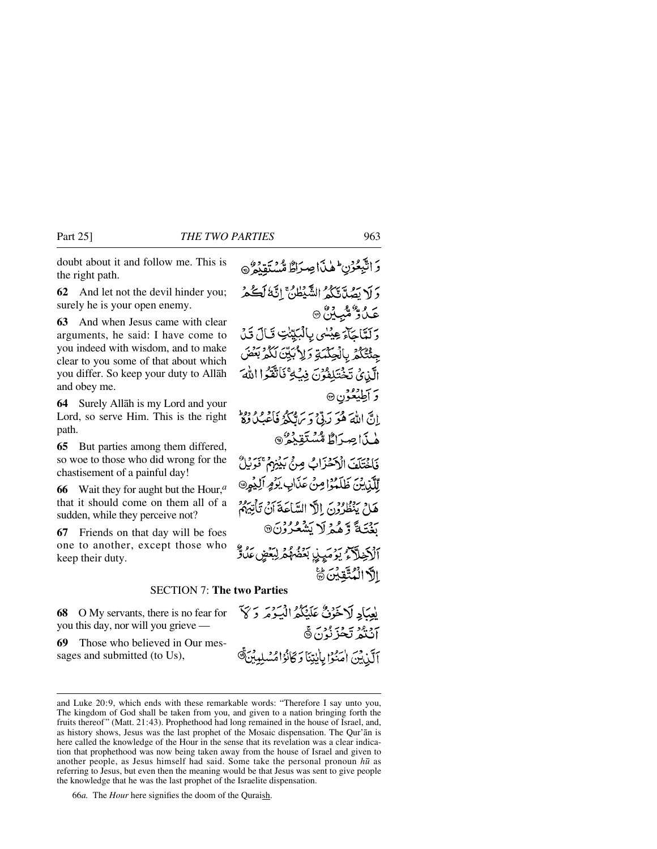doubt about it and follow me. This is the right path.

**62** And let not the devil hinder you; surely he is your open enemy.

**63** And when Jesus came with clear arguments, he said: I have come to you indeed with wisdom, and to make clear to you some of that about which you differ. So keep your duty to Allåh and obey me.

**64** Surely Allåh is my Lord and your Lord, so serve Him. This is the right path.

**65** But parties among them differed, so woe to those who did wrong for the chastisement of a painful day!

**66** Wait they for aught but the Hour,*<sup>a</sup>* that it should come on them all of a sudden, while they perceive not?

**67** Friends on that day will be foes one to another, except those who keep their duty.

وَاتَّبِعُوْنِ لِهِذَاصِرَاطٌ مُّسْتَقِدُوْ دَ لَا يَصُدَّيْتُكُمُ الشَّيْطُنَّ إِنَّهُ لَكُمْ عَىْدُوْ شَبِيْنٌ ۞ وَلَعَّاجَآءَ عِيْسُي بِالْبَيِّتْتِ قَالَ قَدْ جِئْتُكُمْ بِالْجِكْمَةِ وَلِأَبَيِّنَ لَكُمْ بِعُضَ الَّذِيُ تَخۡتَلِفُوۡنَ فِيۡكِ ۚ فَاتَّقَوۡا اللَّهَ وَ أَطِيْعُوْنِ ۞ انَّ اللَّهَ هُوَ رَبِّي وَ سَاتِكُمُ فَأَعْبَىٰ وَلاَ هٰذَاصِرَاطٌ مُسْتَقِيْعُ ® فَاخْتَلَفَ الْأَخْزَابُ مِنْ بَيْنِهُمْ ۚ فَوَيْلٌ لِلَّذِينَ ظَلَّمُوْا مِنْ عَذَابِ يَوْمٍ أَلِيْمِرِ® هَامْ يَنْظُرُوْنَ إِلَهٌ السَّاعَةَ أَنْ تَأْتِيَهُمْ رديج وَهُمْ لَا يَشْعُرُوْنَ® ٱڷػۣڟؖڒػٟٛۦێۯڡؘؠۣۑۣٚٳڹۜڡؘڞ۠ۿۿڒڸڹڡ۫ۻۣۣٸؙڐ۠ الأالْمُتَّقِينَ

#### SECTION 7: **The two Parties**

**68** O My servants, there is no fear for you this day, nor will you grieve —

**69** Those who believed in Our messages and submitted (to Us),

66*a.* The *Hour* here signifies the doom of the Quraish.

يْعِيَادِ لَاخَوْنٌ عَلَيْكُمُ الْبَيْرِمَرِ وَكَيْ أَنْتُمُ تَحْزَنُوْنَ۞ آلَٰٓنِيۡنَ آٰ مَنُوۡا بِأَيۡنِنَآ وَكَانُوۡاۡ مُسۡلِيِبِيۡنَ ۗ

and Luke 20:9, which ends with these remarkable words: "Therefore I say unto you, The kingdom of God shall be taken from you, and given to a nation bringing forth the fruits thereof" (Matt. 21:43). Prophethood had long remained in the house of Israel, and, as history shows, Jesus was the last prophet of the Mosaic dispensation. The Qur'ån is here called the knowledge of the Hour in the sense that its revelation was a clear indication that prophethood was now being taken away from the house of Israel and given to another people, as Jesus himself had said. Some take the personal pronoun *h∂* as referring to Jesus, but even then the meaning would be that Jesus was sent to give people the knowledge that he was the last prophet of the Israelite dispensation.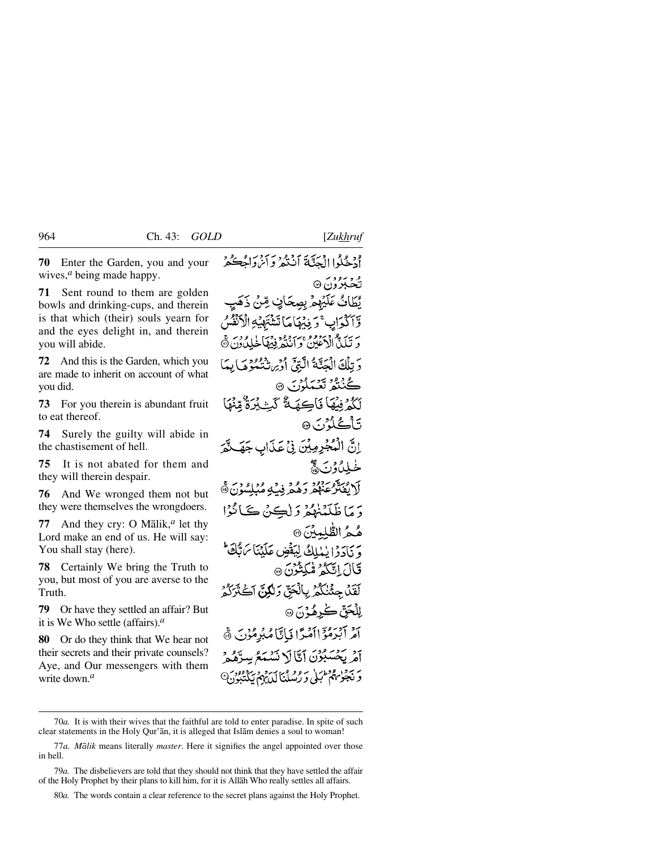**70** Enter the Garden, you and your wives,*<sup>a</sup>* being made happy.

**71** Sent round to them are golden bowls and drinking-cups, and therein is that which (their) souls yearn for and the eyes delight in, and therein you will abide.

**72** And this is the Garden, which you are made to inherit on account of what you did.

**73** For you therein is abundant fruit to eat thereof.

**74** Surely the guilty will abide in the chastisement of hell.

**75** It is not abated for them and they will therein despair.

**76** And We wronged them not but they were themselves the wrongdoers.

**77** And they cry: O Målik,*<sup>a</sup>* let thy Lord make an end of us. He will say: You shall stay (here).

**78** Certainly We bring the Truth to you, but most of you are averse to the Truth.

**79** Or have they settled an affair? But it is We Who settle (affairs).*<sup>a</sup>*

**80** Or do they think that We hear not their secrets and their private counsels? Aye, and Our messengers with them write down.*<sup>a</sup>*

أَجْبِحُلُوا الْمَدَّبَةَ أَنْبُدُ وَأَيْرُدَاهُ حَكْمَرٌ نځکېژون6 © يُطَانُ عَلَيْهِمْ بِصِحَافٍ صِّنْ ذَهَ وَّآڭُدَابِ ۚ دَ فِنْهَا مَا تَشْتَهْيُهِ الْآنُ مَرِيَّلَيْكُمْ الْأَحْفَى مِنْ أَنْبَعُهُ فِيَهْمَا خَلِيْدُونَ ۞ دَ تِلْكَ الْعَدَّيَّةُ الَّتِيِّ أَدْبِرَ شَيْعَوْهِ مَا بِدَأٍ گ<sup>32</sup> تعبدارس ه لَكُمْ فِيْهَا فَاكِهَةٌ كَثِيْرَةٌ مِّنْهَا <del>ئ</del>اڭجۇرىتى انَّ الْمُجْرِمِيْنَ فِيْ عَذَابِ جَهَنَّةَ خىللىۋرىنى ئ أَلَا يُفَتَّرُعَهُمْ وَهُمْ فِيَـٰهِ مُبْلِسُوْنَ﴾ دَ مَا ظَلَّبْنِدُهُمْ وَ لِڪِنْ ڪَبِائِيُوْا هُمُ الطُّلِمِينَ @ وَ يَادَدُا يٰبْلِكُ لِيَقُضِ عَلَيْنَا بِرَبُّكَ ۚ قَالَ!تَكَدُّ مُّكِثُرُنَ۞ لَقَلْ حِثْنَكُمْ بِالْحَقِّ وَلَكُنَّ آكَثَرَكُمْ لِلۡحَقّ ڪُرهُوۡنَ۞ آَمْرِ آَبْرَهُوْٓ اآَمَرًا فَاتَّامُبُرْمُوْنَ ﴾ أَمْرِ بَحْسَبُوْنَ إِيَّالَ لَيْبِيَعُ بِهِ بر سود ودهان به وه و اسرو د سر<br>د نجویهم کبلی د رسلنال یهم نیک

80*a.* The words contain a clear reference to the secret plans against the Holy Prophet.

<sup>70</sup>*a.* It is with their wives that the faithful are told to enter paradise. In spite of such clear statements in the Holy Qur'ån, it is alleged that Islåm denies a soul to woman!

<sup>77</sup>*a. Målik* means literally *master*. Here it signifies the angel appointed over those in hell.

<sup>79</sup>*a.* The disbelievers are told that they should not think that they have settled the affair of the Holy Prophet by their plans to kill him, for it is Allåh Who really settles all affairs.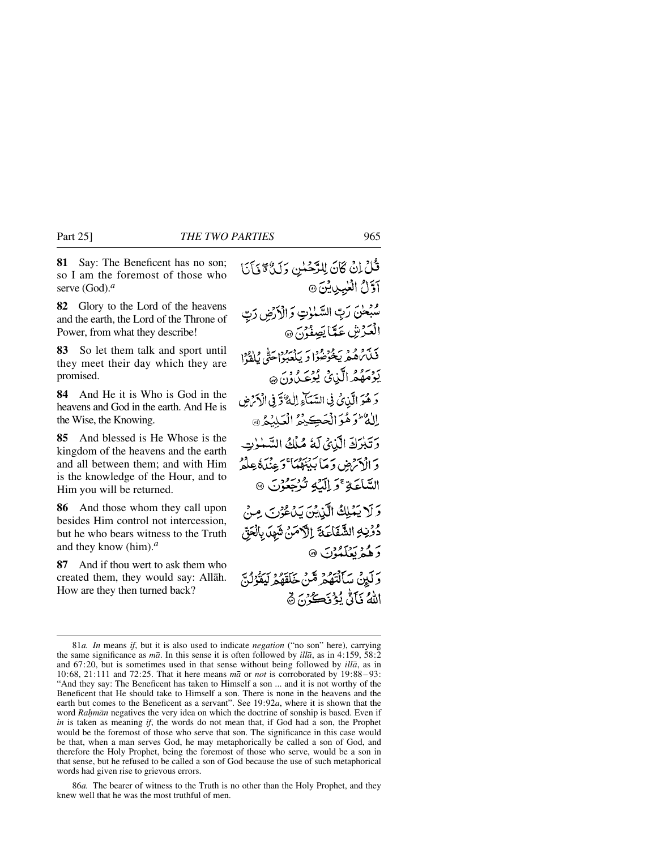**81** Say: The Beneficent has no son; so I am the foremost of those who serve (God).*<sup>a</sup>*

**82** Glory to the Lord of the heavens and the earth, the Lord of the Throne of Power, from what they describe!

**83** So let them talk and sport until they meet their day which they are promised.

**84** And He it is Who is God in the heavens and God in the earth. And He is the Wise, the Knowing.

**85** And blessed is He Whose is the kingdom of the heavens and the earth and all between them; and with Him is the knowledge of the Hour, and to Him you will be returned.

**86** And those whom they call upon besides Him control not intercession, but he who bears witness to the Truth and they know (him).*<sup>a</sup>*

**87** And if thou wert to ask them who created them, they would say: Allåh. How are they then turned back?

قُلْ إِنْ كَانَ لِلرَّحْسِٰ وَلَيْ ۚ وَلَيْ أَيَا آوَّلُ الْعُبِيِينِ أَنَّ مُبْحْنَ رَبِّ السَّمْوٰتِ وَالْأَرْضِ رَبِّ الْعَرْشِ عَمَّا يَصِفُوْنَ @ بر<br>فَلَاباَهُمْ يَخْوَصُوا وَ يَلْعَبُوْاحَتَّى يُلْفَوُا يَوْمَهُمُ الَّذِيْ يُوْعَى وَنَ ٢ وَ هُوَ الَّذِي فِي السَّيَاءِ اللَّهُ وَّ فِي الْإِمْ ضِ الأه وهُوَ الْحَڪِيْمُ الْعَلِيْمُ @ وَتَبْرَكَ الَّذِيِّ لَهُ مُلْكُ السَّنْزِتِ دَ الْأَمْرَضِ وَمَا بَدْنَوْمُهَا ۚ وَعِنۡدَهُۚ عِلۡمٌ السَّاعَةِ ۚ وَ اِلَّيۡهِ تُرْجَعُوۡنَ ۞ وَلَا يَمْلِكُ الَّذِينَ يَدْعُونَ مِنْ دُوْنِهِ الشَّفَاعَةَ إِلَّامَنْ شَهِدَ بِالْحَقِّ دَهُمْ بَعَلَمُوْنَ ۞ ر آيين سَأَلْتَهُمْ مَّنْ خَلَقَهُمْ لِيَقْرُنُنَّ اللَّهُ نَأَنُّ يُؤْنَكُوْنَ ۞

86*a.* The bearer of witness to the Truth is no other than the Holy Prophet, and they knew well that he was the most truthful of men.

<sup>81</sup>*a. In* means *if*, but it is also used to indicate *negation* ("no son" here), carrying the same significance as *må*. In this sense it is often followed by *illå*, as in 4:159, 58:2 and 67:20, but is sometimes used in that sense without being followed by *illå*, as in 10:68, 21:111 and 72:25. That it here means *må* or *not* is corroborated by 19:88– 93: "And they say: The Beneficent has taken to Himself a son ... and it is not worthy of the Beneficent that He should take to Himself a son. There is none in the heavens and the earth but comes to the Beneficent as a servant". See 19:92*a*, where it is shown that the word *Rahmān* negatives the very idea on which the doctrine of sonship is based. Even if *in* is taken as meaning *if*, the words do not mean that, if God had a son, the Prophet would be the foremost of those who serve that son. The significance in this case would be that, when a man serves God, he may metaphorically be called a son of God, and therefore the Holy Prophet, being the foremost of those who serve, would be a son in that sense, but he refused to be called a son of God because the use of such metaphorical words had given rise to grievous errors.